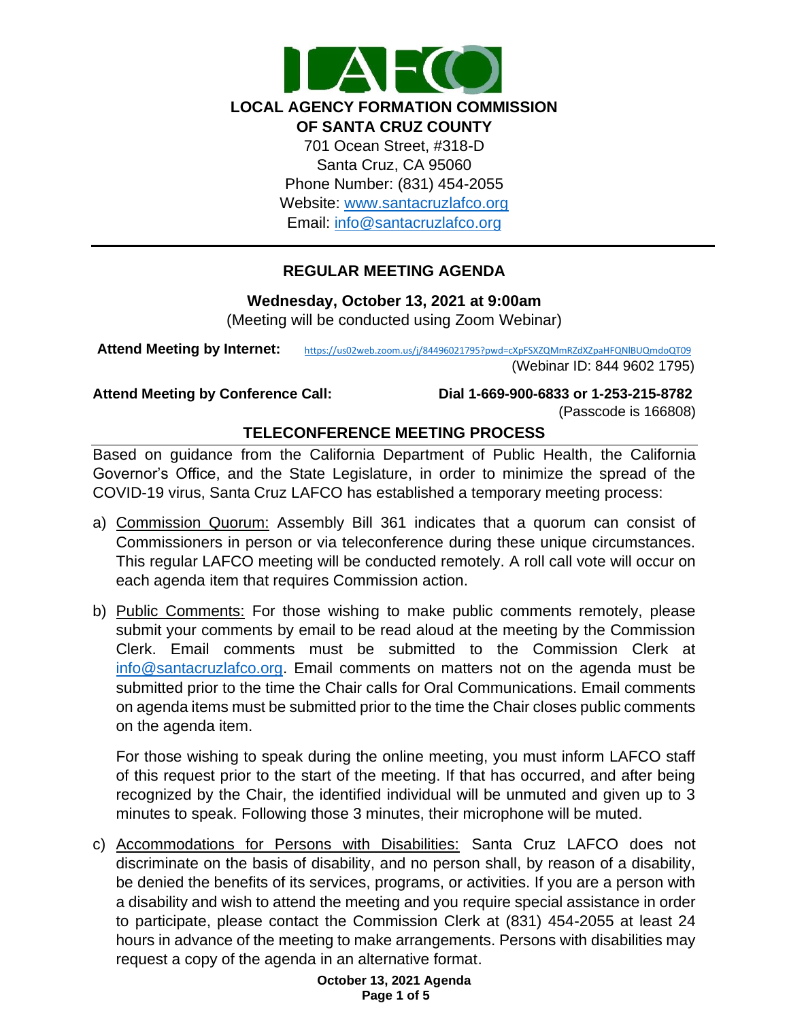

## **REGULAR MEETING AGENDA**

**Wednesday, October 13, 2021 at 9:00am**

(Meeting will be conducted using Zoom Webinar)

Attend Meeting by Internet: https://us02web.zoom.us/j/84496021795?pwd=cXpFSXZQMmRZdXZpaHFQNIBUQmdoQT09

(Webinar ID: 844 9602 1795)

**Attend Meeting by Conference Call: Dial 1-669-900-6833 or 1-253-215-8782** 

(Passcode is 166808)

# **TELECONFERENCE MEETING PROCESS**

Based on guidance from the California Department of Public Health, the California Governor's Office, and the State Legislature, in order to minimize the spread of the COVID-19 virus, Santa Cruz LAFCO has established a temporary meeting process:

- a) Commission Quorum: Assembly Bill 361 indicates that a quorum can consist of Commissioners in person or via teleconference during these unique circumstances. This regular LAFCO meeting will be conducted remotely. A roll call vote will occur on each agenda item that requires Commission action.
- b) Public Comments: For those wishing to make public comments remotely, please submit your comments by email to be read aloud at the meeting by the Commission Clerk. Email comments must be submitted to the Commission Clerk at [info@santacruzlafco.org.](mailto:info@santacruzlafco.org) Email comments on matters not on the agenda must be submitted prior to the time the Chair calls for Oral Communications. Email comments on agenda items must be submitted prior to the time the Chair closes public comments on the agenda item.

For those wishing to speak during the online meeting, you must inform LAFCO staff of this request prior to the start of the meeting. If that has occurred, and after being recognized by the Chair, the identified individual will be unmuted and given up to 3 minutes to speak. Following those 3 minutes, their microphone will be muted.

c) Accommodations for Persons with Disabilities: Santa Cruz LAFCO does not discriminate on the basis of disability, and no person shall, by reason of a disability, be denied the benefits of its services, programs, or activities. If you are a person with a disability and wish to attend the meeting and you require special assistance in order to participate, please contact the Commission Clerk at (831) 454-2055 at least 24 hours in advance of the meeting to make arrangements. Persons with disabilities may request a copy of the agenda in an alternative format.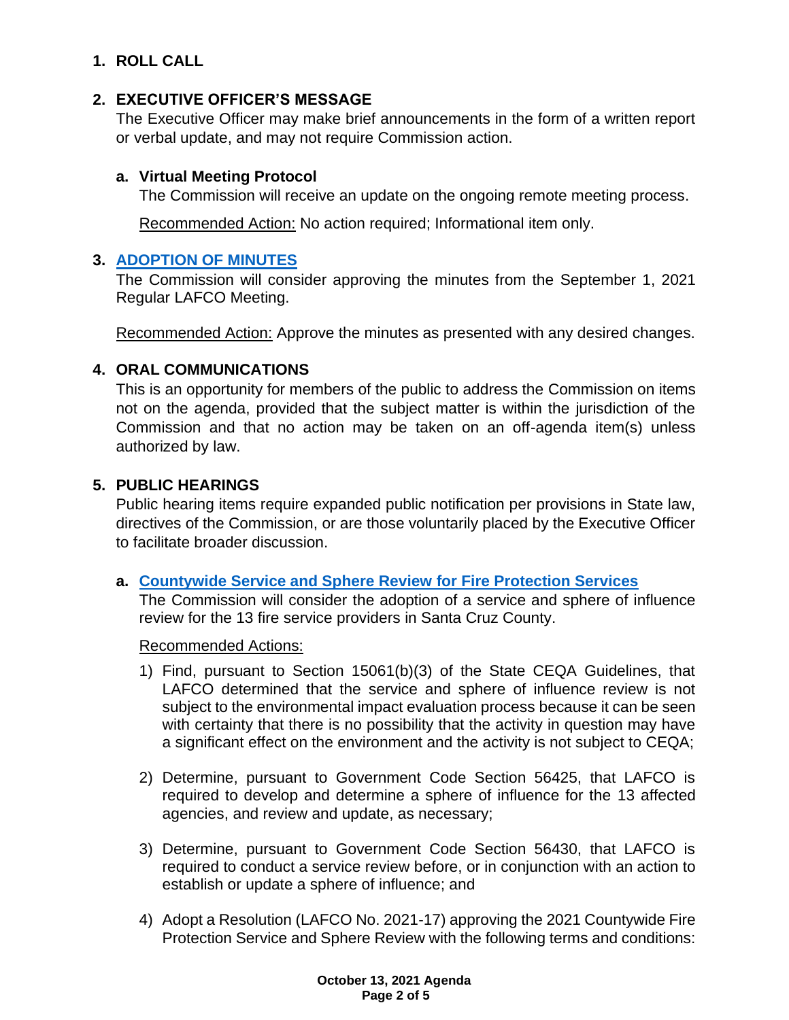# **1. ROLL CALL**

## **2. EXECUTIVE OFFICER'S MESSAGE**

The Executive Officer may make brief announcements in the form of a written report or verbal update, and may not require Commission action.

## **a. Virtual Meeting Protocol**

The Commission will receive an update on the ongoing remote meeting process.

Recommended Action: No action required; Informational item only.

## **3. [ADOPTION OF MINUTES](https://www.santacruzlafco.org/wp-content/uploads/2021/09/3.0-Draft-Minutes-Sept-1-Meeting.pdf)**

The Commission will consider approving the minutes from the September 1, 2021 Regular LAFCO Meeting.

Recommended Action: Approve the minutes as presented with any desired changes.

## **4. ORAL COMMUNICATIONS**

This is an opportunity for members of the public to address the Commission on items not on the agenda, provided that the subject matter is within the jurisdiction of the Commission and that no action may be taken on an off-agenda item(s) unless authorized by law.

## **5. PUBLIC HEARINGS**

Public hearing items require expanded public notification per provisions in State law, directives of the Commission, or are those voluntarily placed by the Executive Officer to facilitate broader discussion.

### **a. [Countywide Service and Sphere Review](https://www.santacruzlafco.org/wp-content/uploads/2021/09/5a.0-Fire-MSR-Staff-Report_Hyperlink_.pdf) for Fire Protection Services**

The Commission will consider the adoption of a service and sphere of influence review for the 13 fire service providers in Santa Cruz County.

Recommended Actions:

- 1) Find, pursuant to Section 15061(b)(3) of the State CEQA Guidelines, that LAFCO determined that the service and sphere of influence review is not subject to the environmental impact evaluation process because it can be seen with certainty that there is no possibility that the activity in question may have a significant effect on the environment and the activity is not subject to CEQA;
- 2) Determine, pursuant to Government Code Section 56425, that LAFCO is required to develop and determine a sphere of influence for the 13 affected agencies, and review and update, as necessary;
- 3) Determine, pursuant to Government Code Section 56430, that LAFCO is required to conduct a service review before, or in conjunction with an action to establish or update a sphere of influence; and
- 4) Adopt a Resolution (LAFCO No. 2021-17) approving the 2021 Countywide Fire Protection Service and Sphere Review with the following terms and conditions: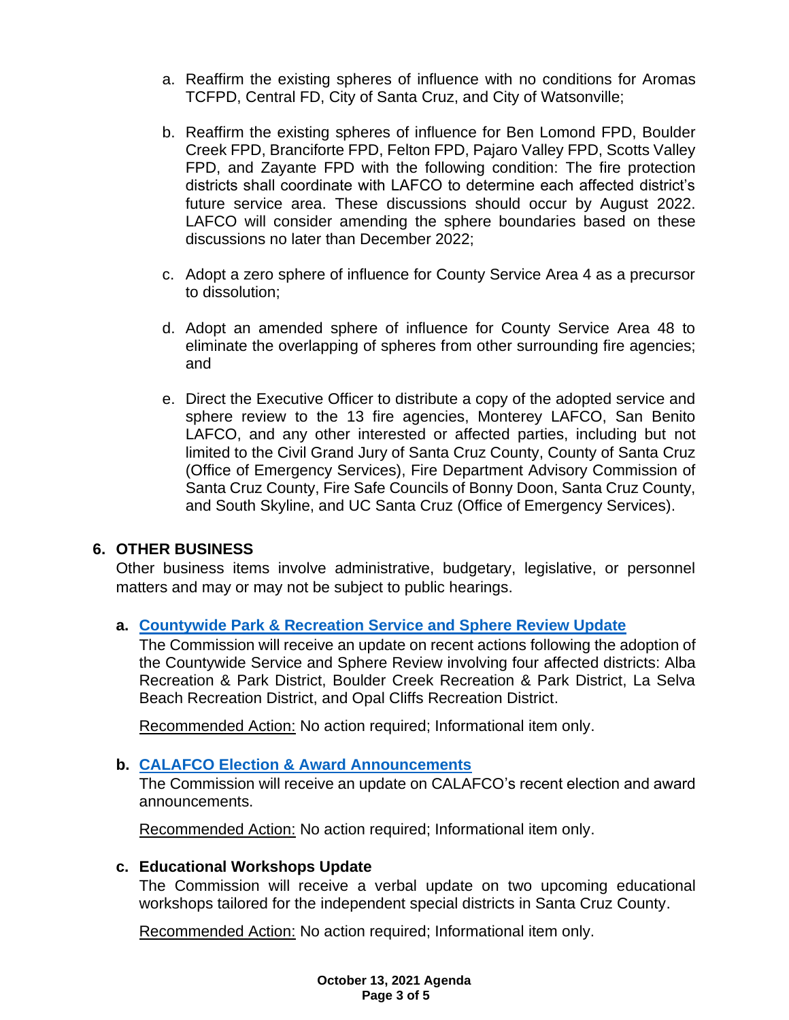- a. Reaffirm the existing spheres of influence with no conditions for Aromas TCFPD, Central FD, City of Santa Cruz, and City of Watsonville;
- b. Reaffirm the existing spheres of influence for Ben Lomond FPD, Boulder Creek FPD, Branciforte FPD, Felton FPD, Pajaro Valley FPD, Scotts Valley FPD, and Zayante FPD with the following condition: The fire protection districts shall coordinate with LAFCO to determine each affected district's future service area. These discussions should occur by August 2022. LAFCO will consider amending the sphere boundaries based on these discussions no later than December 2022;
- c. Adopt a zero sphere of influence for County Service Area 4 as a precursor to dissolution;
- d. Adopt an amended sphere of influence for County Service Area 48 to eliminate the overlapping of spheres from other surrounding fire agencies; and
- e. Direct the Executive Officer to distribute a copy of the adopted service and sphere review to the 13 fire agencies, Monterey LAFCO, San Benito LAFCO, and any other interested or affected parties, including but not limited to the Civil Grand Jury of Santa Cruz County, County of Santa Cruz (Office of Emergency Services), Fire Department Advisory Commission of Santa Cruz County, Fire Safe Councils of Bonny Doon, Santa Cruz County, and South Skyline, and UC Santa Cruz (Office of Emergency Services).

## **6. OTHER BUSINESS**

Other business items involve administrative, budgetary, legislative, or personnel matters and may or may not be subject to public hearings.

### **a. [Countywide Park & Recreation Service and Sphere Review Update](https://www.santacruzlafco.org/wp-content/uploads/2021/09/6a.0-Park-MSR-Update-Staff-Report.pdf)**

The Commission will receive an update on recent actions following the adoption of the Countywide Service and Sphere Review involving four affected districts: Alba Recreation & Park District, Boulder Creek Recreation & Park District, La Selva Beach Recreation District, and Opal Cliffs Recreation District.

Recommended Action: No action required; Informational item only.

### **b. [CALAFCO Election & Award Announcements](https://www.santacruzlafco.org/wp-content/uploads/2021/09/6b.0-CALAFCO-Update-Staff-Report__Hyperlink.pdf)**

The Commission will receive an update on CALAFCO's recent election and award announcements.

Recommended Action: No action required; Informational item only.

### **c. Educational Workshops Update**

The Commission will receive a verbal update on two upcoming educational workshops tailored for the independent special districts in Santa Cruz County.

Recommended Action: No action required; Informational item only.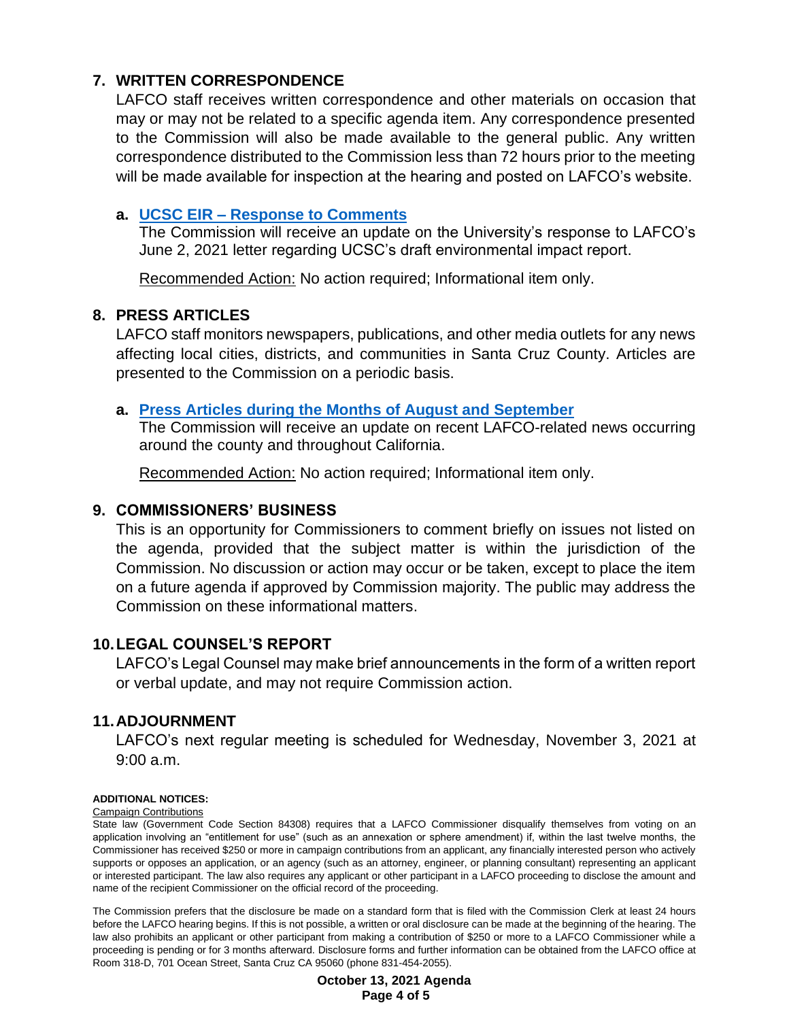## **7. WRITTEN CORRESPONDENCE**

LAFCO staff receives written correspondence and other materials on occasion that may or may not be related to a specific agenda item. Any correspondence presented to the Commission will also be made available to the general public. Any written correspondence distributed to the Commission less than 72 hours prior to the meeting will be made available for inspection at the hearing and posted on LAFCO's website.

#### **a. UCSC EIR – [Response to Comments](https://www.santacruzlafco.org/wp-content/uploads/2021/09/7a.0-Written-Correspondence-Staff-Report_Hyperlink_.pdf)**

The Commission will receive an update on the University's response to LAFCO's June 2, 2021 letter regarding UCSC's draft environmental impact report.

Recommended Action: No action required; Informational item only.

#### **8. PRESS ARTICLES**

LAFCO staff monitors newspapers, publications, and other media outlets for any news affecting local cities, districts, and communities in Santa Cruz County. Articles are presented to the Commission on a periodic basis.

#### **a. [Press Articles during the Months of August](https://www.santacruzlafco.org/wp-content/uploads/2021/09/8a.0-Press-Articles-Staff-Report_Hyperlink.pdf) and September**

The Commission will receive an update on recent LAFCO-related news occurring around the county and throughout California.

Recommended Action: No action required; Informational item only.

#### **9. COMMISSIONERS' BUSINESS**

This is an opportunity for Commissioners to comment briefly on issues not listed on the agenda, provided that the subject matter is within the jurisdiction of the Commission. No discussion or action may occur or be taken, except to place the item on a future agenda if approved by Commission majority. The public may address the Commission on these informational matters.

### **10.LEGAL COUNSEL'S REPORT**

LAFCO's Legal Counsel may make brief announcements in the form of a written report or verbal update, and may not require Commission action.

## **11.ADJOURNMENT**

LAFCO's next regular meeting is scheduled for Wednesday, November 3, 2021 at 9:00 a.m.

#### **ADDITIONAL NOTICES:**

#### Campaign Contributions

State law (Government Code Section 84308) requires that a LAFCO Commissioner disqualify themselves from voting on an application involving an "entitlement for use" (such as an annexation or sphere amendment) if, within the last twelve months, the Commissioner has received \$250 or more in campaign contributions from an applicant, any financially interested person who actively supports or opposes an application, or an agency (such as an attorney, engineer, or planning consultant) representing an applicant or interested participant. The law also requires any applicant or other participant in a LAFCO proceeding to disclose the amount and name of the recipient Commissioner on the official record of the proceeding.

The Commission prefers that the disclosure be made on a standard form that is filed with the Commission Clerk at least 24 hours before the LAFCO hearing begins. If this is not possible, a written or oral disclosure can be made at the beginning of the hearing. The law also prohibits an applicant or other participant from making a contribution of \$250 or more to a LAFCO Commissioner while a proceeding is pending or for 3 months afterward. Disclosure forms and further information can be obtained from the LAFCO office at Room 318-D, 701 Ocean Street, Santa Cruz CA 95060 (phone 831-454-2055).

> **October 13, 2021 Agenda Page 4 of 5**